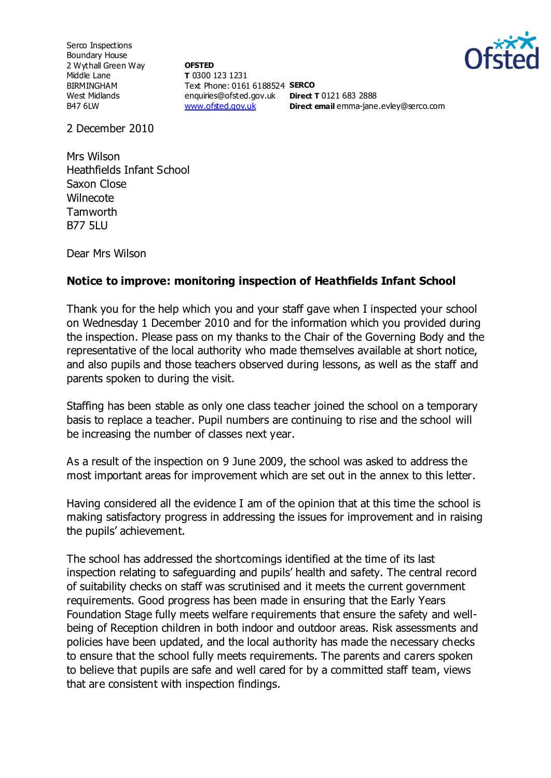Serco Inspections Boundary House 2 Wythall Green Way Middle Lane BIRMINGHAM West Midlands B47 6LW

**OFSTED T** 0300 123 1231 Text Phone: 0161 6188524 **SERCO** enquiries@ofsted.gov.uk **Direct T** 0121 683 2888 [www.ofsted.gov.uk](http://www.ofsted.gov.uk/)



**Direct email** emma-jane.evley@serco.com

2 December 2010

Mrs Wilson Heathfields Infant School Saxon Close **Wilnecote Tamworth** B77 5LU

Dear Mrs Wilson

## **Notice to improve: monitoring inspection of Heathfields Infant School**

Thank you for the help which you and your staff gave when I inspected your school on Wednesday 1 December 2010 and for the information which you provided during the inspection. Please pass on my thanks to the Chair of the Governing Body and the representative of the local authority who made themselves available at short notice, and also pupils and those teachers observed during lessons, as well as the staff and parents spoken to during the visit.

Staffing has been stable as only one class teacher joined the school on a temporary basis to replace a teacher. Pupil numbers are continuing to rise and the school will be increasing the number of classes next year.

As a result of the inspection on 9 June 2009, the school was asked to address the most important areas for improvement which are set out in the annex to this letter.

Having considered all the evidence I am of the opinion that at this time the school is making satisfactory progress in addressing the issues for improvement and in raising the pupils' achievement.

The school has addressed the shortcomings identified at the time of its last inspection relating to safeguarding and pupils' health and safety. The central record of suitability checks on staff was scrutinised and it meets the current government requirements. Good progress has been made in ensuring that the Early Years Foundation Stage fully meets welfare requirements that ensure the safety and wellbeing of Reception children in both indoor and outdoor areas. Risk assessments and policies have been updated, and the local authority has made the necessary checks to ensure that the school fully meets requirements. The parents and carers spoken to believe that pupils are safe and well cared for by a committed staff team, views that are consistent with inspection findings.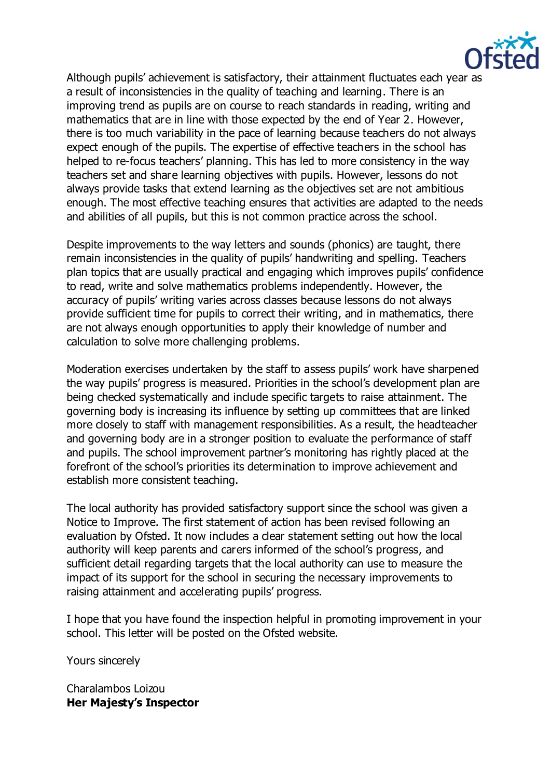

Although pupils' achievement is satisfactory, their attainment fluctuates each year as a result of inconsistencies in the quality of teaching and learning. There is an improving trend as pupils are on course to reach standards in reading, writing and mathematics that are in line with those expected by the end of Year 2. However, there is too much variability in the pace of learning because teachers do not always expect enough of the pupils. The expertise of effective teachers in the school has helped to re-focus teachers' planning. This has led to more consistency in the way teachers set and share learning objectives with pupils. However, lessons do not always provide tasks that extend learning as the objectives set are not ambitious enough. The most effective teaching ensures that activities are adapted to the needs and abilities of all pupils, but this is not common practice across the school.

Despite improvements to the way letters and sounds (phonics) are taught, there remain inconsistencies in the quality of pupils' handwriting and spelling. Teachers plan topics that are usually practical and engaging which improves pupils' confidence to read, write and solve mathematics problems independently. However, the accuracy of pupils' writing varies across classes because lessons do not always provide sufficient time for pupils to correct their writing, and in mathematics, there are not always enough opportunities to apply their knowledge of number and calculation to solve more challenging problems.

Moderation exercises undertaken by the staff to assess pupils' work have sharpened the way pupils' progress is measured. Priorities in the school's development plan are being checked systematically and include specific targets to raise attainment. The governing body is increasing its influence by setting up committees that are linked more closely to staff with management responsibilities. As a result, the headteacher and governing body are in a stronger position to evaluate the performance of staff and pupils. The school improvement partner's monitoring has rightly placed at the forefront of the school's priorities its determination to improve achievement and establish more consistent teaching.

The local authority has provided satisfactory support since the school was given a Notice to Improve. The first statement of action has been revised following an evaluation by Ofsted. It now includes a clear statement setting out how the local authority will keep parents and carers informed of the school's progress, and sufficient detail regarding targets that the local authority can use to measure the impact of its support for the school in securing the necessary improvements to raising attainment and accelerating pupils' progress.

I hope that you have found the inspection helpful in promoting improvement in your school. This letter will be posted on the Ofsted website.

Yours sincerely

Charalambos Loizou **Her Majesty's Inspector**